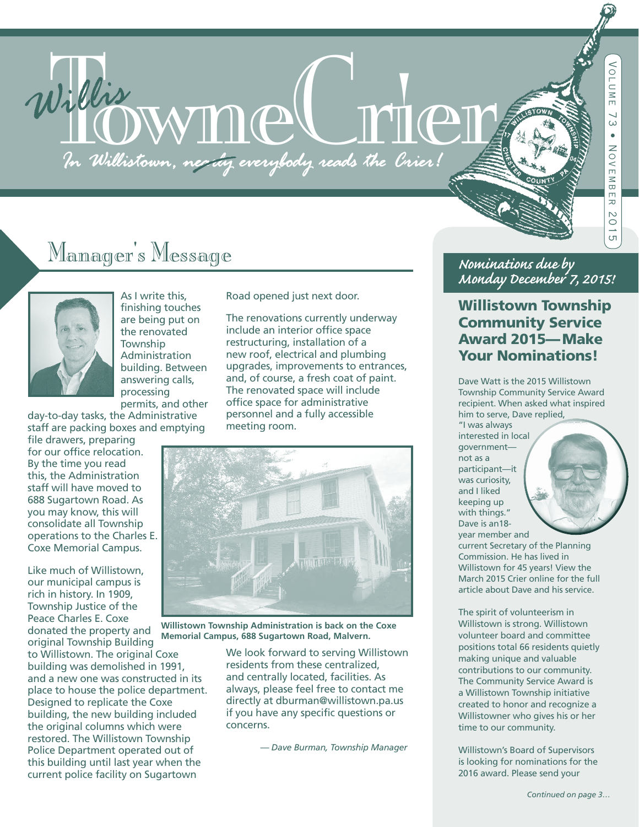# Willis WWMMC FOR THEFT

# Manager's Message



As I write this, finishing touches are being put on the renovated **Township** Administration building. Between answering calls, processing permits, and other

day-to-day tasks, the Administrative staff are packing boxes and emptying

file drawers, preparing for our office relocation. By the time you read this, the Administration staff will have moved to 688 Sugartown Road. As you may know, this will consolidate all Township operations to the Charles E. Coxe Memorial Campus.

Like much of Willistown, our municipal campus is rich in history. In 1909, Township Justice of the Peace Charles E. Coxe donated the property and original Township Building to Willistown. The original Coxe building was demolished in 1991, and a new one was constructed in its

place to house the police department. Designed to replicate the Coxe building, the new building included the original columns which were restored. The Willistown Township Police Department operated out of this building until last year when the current police facility on Sugartown

Road opened just next door.

The renovations currently underway include an interior office space restructuring, installation of a new roof, electrical and plumbing upgrades, improvements to entrances, and, of course, a fresh coat of paint. The renovated space will include office space for administrative personnel and a fully accessible meeting room.



**Willistown Township Administration is back on the Coxe Memorial Campus, 688 Sugartown Road, Malvern.**

> We look forward to serving Willistown residents from these centralized, and centrally located, facilities. As always, please feel free to contact me directly at dburman@willistown.pa.us if you have any specific questions or concerns.

> > *— Dave Burman, Township Manager*

#### *Nominations due by Monday December 7, 2015!*

#### Willistown Township Community Service Award 2015—Make Your Nominations!

Dave Watt is the 2015 Willistown Township Community Service Award recipient. When asked what inspired him to serve, Dave replied,

"I was always interested in local government not as a participant—it was curiosity, and I liked keeping up with things." Dave is an18 year member and



current Secretary of the Planning Commission. He has lived in Willistown for 45 years! View the March 2015 Crier online for the full article about Dave and his service.

The spirit of volunteerism in Willistown is strong. Willistown volunteer board and committee positions total 66 residents quietly making unique and valuable contributions to our community. The Community Service Award is a Willistown Township initiative created to honor and recognize a Willistowner who gives his or her time to our community.

Willistown's Board of Supervisors is looking for nominations for the 2016 award. Please send your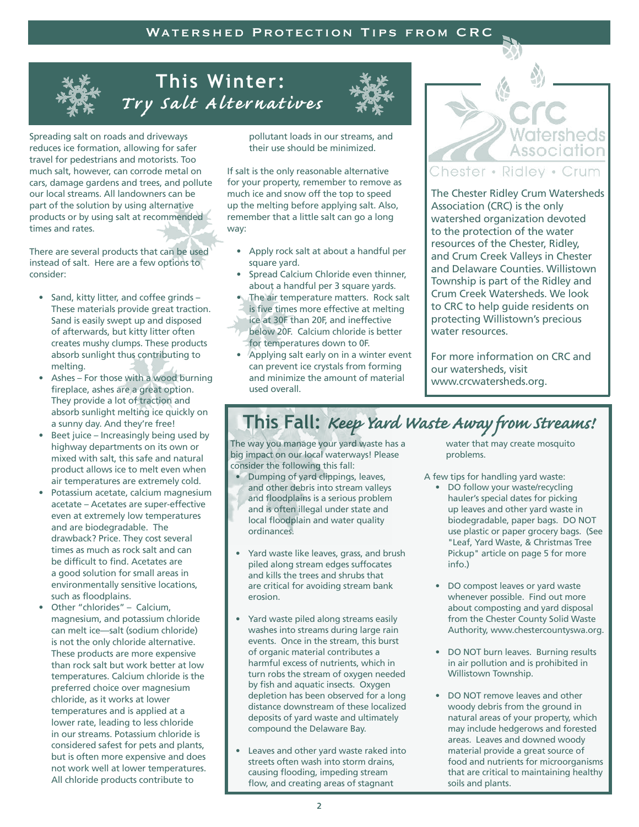

# **This Winter:**  *Try Salt Alternatives*

Spreading salt on roads and driveways reduces ice formation, allowing for safer travel for pedestrians and motorists. Too much salt, however, can corrode metal on cars, damage gardens and trees, and pollute our local streams. All landowners can be part of the solution by using alternative products or by using salt at recommended times and rates.

There are several products that can be used instead of salt. Here are a few options to consider:

- Sand, kitty litter, and coffee grinds These materials provide great traction. Sand is easily swept up and disposed of afterwards, but kitty litter often creates mushy clumps. These products absorb sunlight thus contributing to melting.
- Ashes For those with a wood burning fireplace, ashes are a great option. They provide a lot of traction and absorb sunlight melting ice quickly on a sunny day. And they're free!
- Beet juice Increasingly being used by highway departments on its own or mixed with salt, this safe and natural product allows ice to melt even when air temperatures are extremely cold.
- Potassium acetate, calcium magnesium acetate – Acetates are super-effective even at extremely low temperatures and are biodegradable. The drawback? Price. They cost several times as much as rock salt and can be difficult to find. Acetates are a good solution for small areas in environmentally sensitive locations, such as floodplains.
- Other "chlorides" Calcium, magnesium, and potassium chloride can melt ice—salt (sodium chloride) is not the only chloride alternative. These products are more expensive than rock salt but work better at low temperatures. Calcium chloride is the preferred choice over magnesium chloride, as it works at lower temperatures and is applied at a lower rate, leading to less chloride in our streams. Potassium chloride is considered safest for pets and plants, but is often more expensive and does not work well at lower temperatures. All chloride products contribute to

pollutant loads in our streams, and their use should be minimized.

If salt is the only reasonable alternative for your property, remember to remove as much ice and snow off the top to speed up the melting before applying salt. Also, remember that a little salt can go a long way:

- Apply rock salt at about a handful per square yard.
- Spread Calcium Chloride even thinner, about a handful per 3 square yards.
- The air temperature matters. Rock salt is five times more effective at melting ice at 30F than 20F, and ineffective below 20F. Calcium chloride is better for temperatures down to 0F.
- Applying salt early on in a winter event can prevent ice crystals from forming and minimize the amount of material used overall.



#### Chester • Ridley • Crum

The Chester Ridley Crum Watersheds Association (CRC) is the only watershed organization devoted to the protection of the water resources of the Chester, Ridley, and Crum Creek Valleys in Chester and Delaware Counties. Willistown Township is part of the Ridley and Crum Creek Watersheds. We look to CRC to help guide residents on protecting Willistown's precious water resources.

For more information on CRC and our watersheds, visit www.crcwatersheds.org.

# **This Fall:** *Keep Yard Waste Away from Streams!*

The way you manage your yard waste has a big impact on our local waterways! Please consider the following this fall:

- Dumping of yard clippings, leaves, and other debris into stream valleys and floodplains is a serious problem and is often illegal under state and local floodplain and water quality ordinances.
- Yard waste like leaves, grass, and brush piled along stream edges suffocates and kills the trees and shrubs that are critical for avoiding stream bank erosion.
- Yard waste piled along streams easily washes into streams during large rain events. Once in the stream, this burst of organic material contributes a harmful excess of nutrients, which in turn robs the stream of oxygen needed by fish and aquatic insects. Oxygen depletion has been observed for a long distance downstream of these localized deposits of yard waste and ultimately compound the Delaware Bay.
- Leaves and other yard waste raked into streets often wash into storm drains, causing flooding, impeding stream flow, and creating areas of stagnant

water that may create mosquito problems.

A few tips for handling yard waste:

- DO follow your waste/recycling hauler's special dates for picking up leaves and other yard waste in biodegradable, paper bags. DO NOT use plastic or paper grocery bags. (See "Leaf, Yard Waste, & Christmas Tree Pickup" article on page 5 for more info.)
- DO compost leaves or yard waste whenever possible. Find out more about composting and yard disposal from the Chester County Solid Waste Authority, www.chestercountyswa.org.
- DO NOT burn leaves. Burning results in air pollution and is prohibited in Willistown Township.
- DO NOT remove leaves and other woody debris from the ground in natural areas of your property, which may include hedgerows and forested areas. Leaves and downed woody material provide a great source of food and nutrients for microorganisms that are critical to maintaining healthy soils and plants.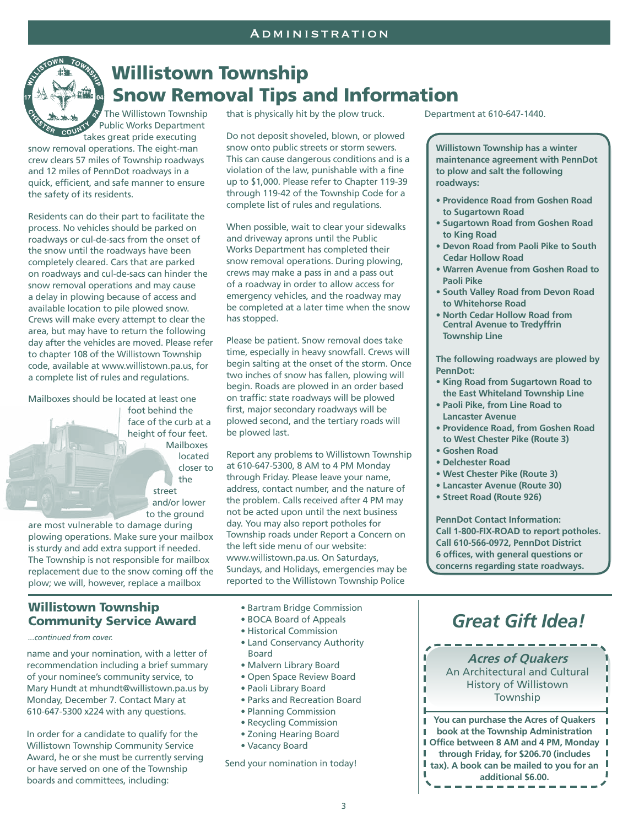

# Willistown Township Snow Removal Tips and Information

The Willistown Township Public Works Department takes great pride executing

snow removal operations. The eight-man crew clears 57 miles of Township roadways and 12 miles of PennDot roadways in a quick, efficient, and safe manner to ensure the safety of its residents.

Residents can do their part to facilitate the process. No vehicles should be parked on roadways or cul-de-sacs from the onset of the snow until the roadways have been completely cleared. Cars that are parked on roadways and cul-de-sacs can hinder the snow removal operations and may cause a delay in plowing because of access and available location to pile plowed snow. Crews will make every attempt to clear the area, but may have to return the following day after the vehicles are moved. Please refer to chapter 108 of the Willistown Township code, available at www.willistown.pa.us, for a complete list of rules and regulations.

Mailboxes should be located at least one

foot behind the face of the curb at a height of four feet. Mailboxes located closer to the street and/or lower to the ground

are most vulnerable to damage during plowing operations. Make sure your mailbox is sturdy and add extra support if needed. The Township is not responsible for mailbox replacement due to the snow coming off the plow; we will, however, replace a mailbox

#### Willistown Township Community Service Award

*...continued from cover.*

name and your nomination, with a letter of recommendation including a brief summary of your nominee's community service, to Mary Hundt at mhundt@willistown.pa.us by Monday, December 7. Contact Mary at 610-647-5300 x224 with any questions.

In order for a candidate to qualify for the Willistown Township Community Service Award, he or she must be currently serving or have served on one of the Township boards and committees, including:

that is physically hit by the plow truck.

Do not deposit shoveled, blown, or plowed snow onto public streets or storm sewers. This can cause dangerous conditions and is a violation of the law, punishable with a fine up to \$1,000. Please refer to Chapter 119-39 through 119-42 of the Township Code for a complete list of rules and regulations.

When possible, wait to clear your sidewalks and driveway aprons until the Public Works Department has completed their snow removal operations. During plowing, crews may make a pass in and a pass out of a roadway in order to allow access for emergency vehicles, and the roadway may be completed at a later time when the snow has stopped.

Please be patient. Snow removal does take time, especially in heavy snowfall. Crews will begin salting at the onset of the storm. Once two inches of snow has fallen, plowing will begin. Roads are plowed in an order based on traffic: state roadways will be plowed first, major secondary roadways will be plowed second, and the tertiary roads will be plowed last.

Report any problems to Willistown Township at 610-647-5300, 8 AM to 4 PM Monday through Friday. Please leave your name, address, contact number, and the nature of the problem. Calls received after 4 PM may not be acted upon until the next business day. You may also report potholes for Township roads under Report a Concern on the left side menu of our website: www.willistown.pa.us. On Saturdays, Sundays, and Holidays, emergencies may be reported to the Willistown Township Police

- Bartram Bridge Commission
- BOCA Board of Appeals
- Historical Commission
- Land Conservancy Authority Board
- Malvern Library Board
- Open Space Review Board
- Paoli Library Board
- Parks and Recreation Board
- Planning Commission
- Recycling Commission
- Zoning Hearing Board
- Vacancy Board

Send your nomination in today!

Department at 610-647-1440.

**Willistown Township has a winter maintenance agreement with PennDot to plow and salt the following roadways:**

- **Providence Road from Goshen Road to Sugartown Road**
- **Sugartown Road from Goshen Road to King Road**
- **Devon Road from Paoli Pike to South Cedar Hollow Road**
- **Warren Avenue from Goshen Road to Paoli Pike**
- **South Valley Road from Devon Road to Whitehorse Road**
- **North Cedar Hollow Road from Central Avenue to Tredyffrin Township Line**

**The following roadways are plowed by PennDot:**

- **King Road from Sugartown Road to the East Whiteland Township Line**
- **Paoli Pike, from Line Road to Lancaster Avenue**
- **Providence Road, from Goshen Road to West Chester Pike (Route 3)**
- **Goshen Road**

T I

Т

- **Delchester Road**
- **West Chester Pike (Route 3)**
- **Lancaster Avenue (Route 30)**
- **Street Road (Route 926)**

**PennDot Contact Information: Call 1-800-FIX-ROAD to report potholes. Call 610-566-0972, PennDot District 6 offices, with general questions or concerns regarding state roadways.**

# *Great Gift Idea!*



**book at the Township Administration Office between 8 AM and 4 PM, Monday through Friday, for \$206.70 (includes tax). A book can be mailed to you for an additional \$6.00.**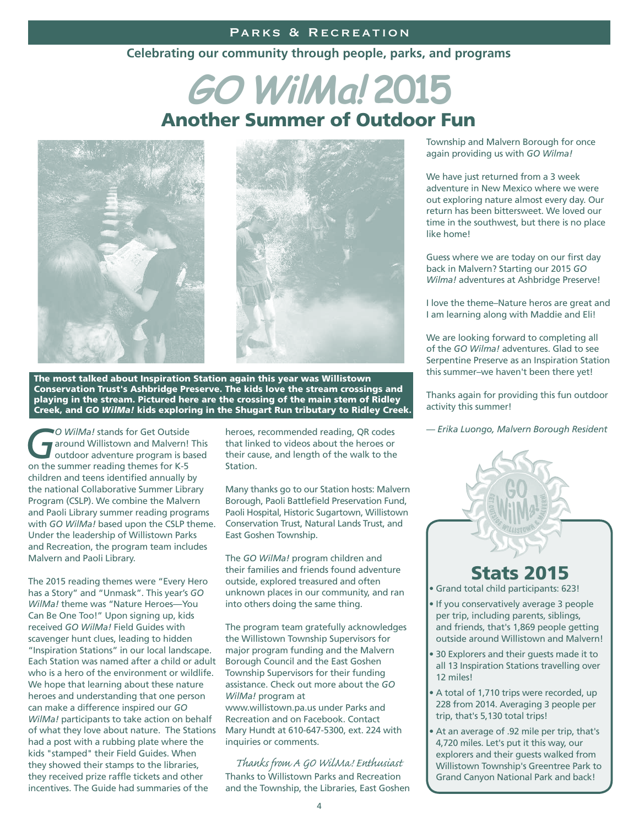#### PARKS & RECREATION

#### **Celebrating our community through people, parks, and programs**

# Another Summer of Outdoor Fun **GO WilMa! 2015**





The most talked about Inspiration Station again this year was Willistown Conservation Trust's Ashbridge Preserve. The kids love the stream crossings and playing in the stream. Pictured here are the crossing of the main stem of Ridley Creek, and *GO WilMa!* kids exploring in the Shugart Run tributary to Ridley Creek.

*GO WilMa!* stands for Get Outside<br>
around Willistown and Malvern! This<br>
outdoor adventure program is based<br>
on the summer reading themes for K.5 around Willistown and Malvern! This on the summer reading themes for K-5 children and teens identified annually by the national Collaborative Summer Library Program (CSLP). We combine the Malvern and Paoli Library summer reading programs with *GO WilMa!* based upon the CSLP theme. Under the leadership of Willistown Parks and Recreation, the program team includes Malvern and Paoli Library.

The 2015 reading themes were "Every Hero has a Story" and "Unmask". This year's *GO WilMa!* theme was "Nature Heroes—You Can Be One Too!" Upon signing up, kids received *GO WilMa!* Field Guides with scavenger hunt clues, leading to hidden "Inspiration Stations" in our local landscape. Each Station was named after a child or adult who is a hero of the environment or wildlife. We hope that learning about these nature heroes and understanding that one person can make a difference inspired our *GO WilMa!* participants to take action on behalf of what they love about nature. The Stations had a post with a rubbing plate where the kids "stamped" their Field Guides. When they showed their stamps to the libraries, they received prize raffle tickets and other incentives. The Guide had summaries of the

heroes, recommended reading, QR codes that linked to videos about the heroes or their cause, and length of the walk to the Station.

Many thanks go to our Station hosts: Malvern Borough, Paoli Battlefield Preservation Fund, Paoli Hospital, Historic Sugartown, Willistown Conservation Trust, Natural Lands Trust, and East Goshen Township.

The *GO WilMa!* program children and their families and friends found adventure outside, explored treasured and often unknown places in our community, and ran into others doing the same thing.

The program team gratefully acknowledges the Willistown Township Supervisors for major program funding and the Malvern Borough Council and the East Goshen Township Supervisors for their funding assistance. Check out more about the *GO WilMa!* program at

www.willistown.pa.us under Parks and Recreation and on Facebook. Contact Mary Hundt at 610-647-5300, ext. 224 with inquiries or comments.

Thanks to Willistown Parks and Recreation and the Township, the Libraries, East Goshen *Thanks from A GO WilMa! Enthusiast*

Township and Malvern Borough for once again providing us with *GO Wilma!*

We have just returned from a 3 week adventure in New Mexico where we were out exploring nature almost every day. Our return has been bittersweet. We loved our time in the southwest, but there is no place like home!

Guess where we are today on our first day back in Malvern? Starting our 2015 *GO Wilma!* adventures at Ashbridge Preserve!

I love the theme–Nature heros are great and I am learning along with Maddie and Eli!

We are looking forward to completing all of the *GO Wilma!* adventures. Glad to see Serpentine Preserve as an Inspiration Station this summer–we haven't been there yet!

Thanks again for providing this fun outdoor activity this summer!

*— Erika Luongo, Malvern Borough Resident*

## Stats 2015

• Grand total child participants: 623!

- If you conservatively average 3 people per trip, including parents, siblings, and friends, that's 1,869 people getting outside around Willistown and Malvern!
- 30 Explorers and their guests made it to all 13 Inspiration Stations travelling over 12 miles!
- A total of 1,710 trips were recorded, up 228 from 2014. Averaging 3 people per trip, that's 5,130 total trips!
- At an average of .92 mile per trip, that's 4,720 miles. Let's put it this way, our explorers and their guests walked from Willistown Township's Greentree Park to Grand Canyon National Park and back!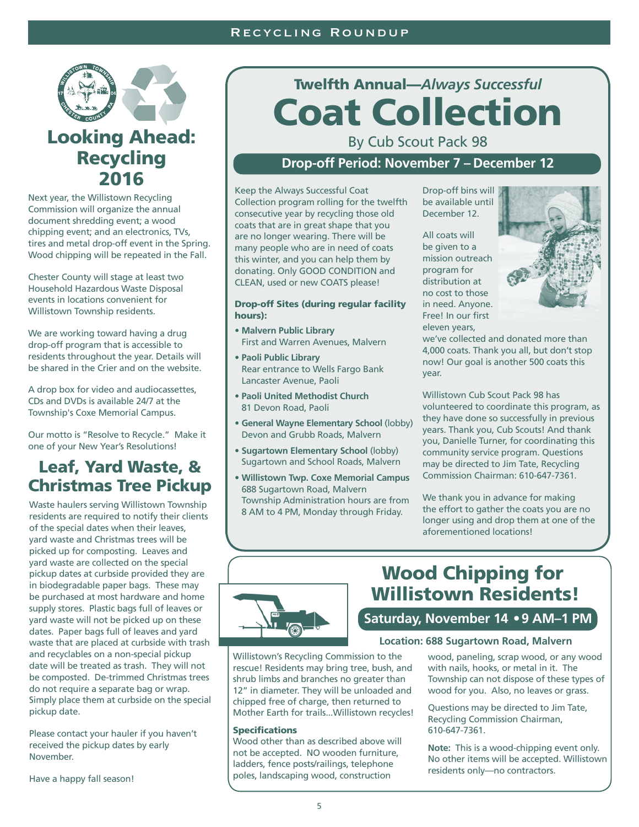#### Recycling Roundup



## Looking Ahead: Recycling 2016

Next year, the Willistown Recycling Commission will organize the annual document shredding event; a wood chipping event; and an electronics, TVs, tires and metal drop-off event in the Spring. Wood chipping will be repeated in the Fall.

Chester County will stage at least two Household Hazardous Waste Disposal events in locations convenient for Willistown Township residents.

We are working toward having a drug drop-off program that is accessible to residents throughout the year. Details will be shared in the Crier and on the website.

A drop box for video and audiocassettes, CDs and DVDs is available 24/7 at the Township's Coxe Memorial Campus.

Our motto is "Resolve to Recycle." Make it one of your New Year's Resolutions!

#### Leaf, Yard Waste, & Christmas Tree Pickup

Waste haulers serving Willistown Township residents are required to notify their clients of the special dates when their leaves, yard waste and Christmas trees will be picked up for composting. Leaves and yard waste are collected on the special pickup dates at curbside provided they are in biodegradable paper bags. These may be purchased at most hardware and home supply stores. Plastic bags full of leaves or yard waste will not be picked up on these dates. Paper bags full of leaves and yard waste that are placed at curbside with trash and recyclables on a non-special pickup date will be treated as trash. They will not be composted. De-trimmed Christmas trees do not require a separate bag or wrap. Simply place them at curbside on the special pickup date.

Please contact your hauler if you haven't received the pickup dates by early November.

Have a happy fall season!

# Twelfth Annual—*Always Successful* Coat Collection

By Cub Scout Pack 98

#### **Drop-off Period: November 7 – December 12**

Keep the Always Successful Coat Collection program rolling for the twelfth consecutive year by recycling those old coats that are in great shape that you are no longer wearing. There will be many people who are in need of coats this winter, and you can help them by donating. Only GOOD CONDITION and CLEAN, used or new COATS please!

#### Drop-off Sites (during regular facility hours):

- **Malvern Public Library**  First and Warren Avenues, Malvern
- **Paoli Public Library**  Rear entrance to Wells Fargo Bank Lancaster Avenue, Paoli
- **Paoli United Methodist Church**  81 Devon Road, Paoli
- **General Wayne Elementary School** (lobby) Devon and Grubb Roads, Malvern
- **Sugartown Elementary School** (lobby) Sugartown and School Roads, Malvern
- **Willistown Twp. Coxe Memorial Campus** 688 Sugartown Road, Malvern Township Administration hours are from 8 AM to 4 PM, Monday through Friday.

Drop-off bins will be available until December 12.

All coats will be given to a mission outreach program for distribution at no cost to those in need. Anyone. Free! In our first eleven years,



we've collected and donated more than 4,000 coats. Thank you all, but don't stop now! Our goal is another 500 coats this year.

Willistown Cub Scout Pack 98 has volunteered to coordinate this program, as they have done so successfully in previous years. Thank you, Cub Scouts! And thank you, Danielle Turner, for coordinating this community service program. Questions may be directed to Jim Tate, Recycling Commission Chairman: 610-647-7361.

We thank you in advance for making the effort to gather the coats you are no longer using and drop them at one of the aforementioned locations!



## Wood Chipping for Willistown Residents!

#### **Saturday, November 14 •9 AM–1 PM**

#### **Location: 688 Sugartown Road, Malvern**

Willistown's Recycling Commission to the rescue! Residents may bring tree, bush, and shrub limbs and branches no greater than 12" in diameter. They will be unloaded and chipped free of charge, then returned to Mother Earth for trails...Willistown recycles!

#### **Specifications**

Wood other than as described above will not be accepted. NO wooden furniture, ladders, fence posts/railings, telephone poles, landscaping wood, construction

wood, paneling, scrap wood, or any wood with nails, hooks, or metal in it. The Township can not dispose of these types of wood for you. Also, no leaves or grass.

Questions may be directed to Jim Tate, Recycling Commission Chairman, 610-647-7361.

**Note:** This is a wood-chipping event only. No other items will be accepted. Willistown residents only—no contractors.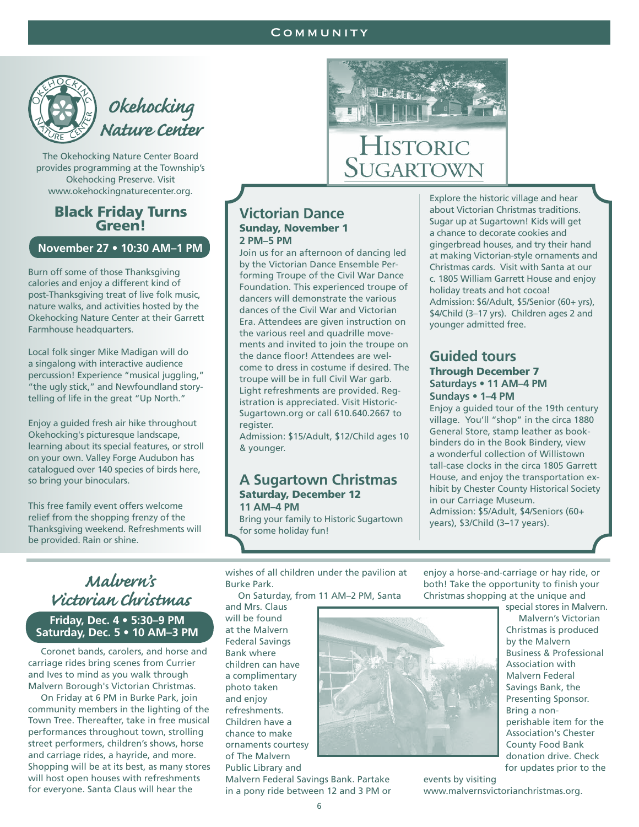#### **COMMUNITY**

Historic

SUGARTOWN



*Okehocking Nature Center*

The Okehocking Nature Center Board provides programming at the Township's Okehocking Preserve. Visit www.okehockingnaturecenter.org.

# Black Friday Turns Green!

#### **November 27 • 10:30 AM–1 PM**

Burn off some of those Thanksgiving calories and enjoy a different kind of post-Thanksgiving treat of live folk music, nature walks, and activities hosted by the Okehocking Nature Center at their Garrett Farmhouse headquarters.

Local folk singer Mike Madigan will do a singalong with interactive audience percussion! Experience "musical juggling," "the ugly stick," and Newfoundland storytelling of life in the great "Up North."

Enjoy a guided fresh air hike throughout Okehocking's picturesque landscape, learning about its special features, or stroll on your own. Valley Forge Audubon has catalogued over 140 species of birds here, so bring your binoculars.

This free family event offers welcome relief from the shopping frenzy of the Thanksgiving weekend. Refreshments will be provided. Rain or shine.

#### **Victorian Dance** Sunday, November 1 **2 PM–5 PM**

Join us for an afternoon of dancing led by the Victorian Dance Ensemble Performing Troupe of the Civil War Dance Foundation. This experienced troupe of dancers will demonstrate the various dances of the Civil War and Victorian Era. Attendees are given instruction on the various reel and quadrille movements and invited to join the troupe on the dance floor! Attendees are welcome to dress in costume if desired. The troupe will be in full Civil War garb. Light refreshments are provided. Registration is appreciated. Visit Historic-Sugartown.org or call 610.640.2667 to register.

Admission: \$15/Adult, \$12/Child ages 10 & younger.

#### **A Sugartown Christmas** Saturday, December 12 **11 AM–4 PM**

Bring your family to Historic Sugartown for some holiday fun!

Explore the historic village and hear about Victorian Christmas traditions. Sugar up at Sugartown! Kids will get a chance to decorate cookies and gingerbread houses, and try their hand at making Victorian-style ornaments and Christmas cards. Visit with Santa at our c. 1805 William Garrett House and enjoy holiday treats and hot cocoa! Admission: \$6/Adult, \$5/Senior (60+ yrs), \$4/Child (3–17 yrs). Children ages 2 and younger admitted free.

#### **Guided tours**  Through December 7 **Saturdays • 11 AM–4 PM Sundays • 1–4 PM**

Enjoy a guided tour of the 19th century village. You'll "shop" in the circa 1880 General Store, stamp leather as bookbinders do in the Book Bindery, view a wonderful collection of Willistown tall-case clocks in the circa 1805 Garrett House, and enjoy the transportation exhibit by Chester County Historical Society in our Carriage Museum. Admission: \$5/Adult, \$4/Seniors (60+ years), \$3/Child (3–17 years).

*Malvern's Victorian Christmas* **Friday, Dec. 4 • 5:30–9 PM Saturday, Dec. 5 • 10 AM–3 PM**

 Coronet bands, carolers, and horse and carriage rides bring scenes from Currier and Ives to mind as you walk through Malvern Borough's Victorian Christmas.

 On Friday at 6 PM in Burke Park, join community members in the lighting of the Town Tree. Thereafter, take in free musical performances throughout town, strolling street performers, children's shows, horse and carriage rides, a hayride, and more. Shopping will be at its best, as many stores will host open houses with refreshments for everyone. Santa Claus will hear the

wishes of all children under the pavilion at Burke Park.

On Saturday, from 11 AM–2 PM, Santa

and Mrs. Claus will be found at the Malvern Federal Savings Bank where children can have a complimentary photo taken and enjoy refreshments. Children have a chance to make ornaments courtesy of The Malvern Public Library and

Malvern Federal Savings Bank. Partake in a pony ride between 12 and 3 PM or



 Malvern's Victorian Christmas is produced by the Malvern Business & Professional Association with Malvern Federal Savings Bank, the Presenting Sponsor. Bring a nonperishable item for the Association's Chester County Food Bank donation drive. Check for updates prior to the

events by visiting www.malvernsvictorianchristmas.org.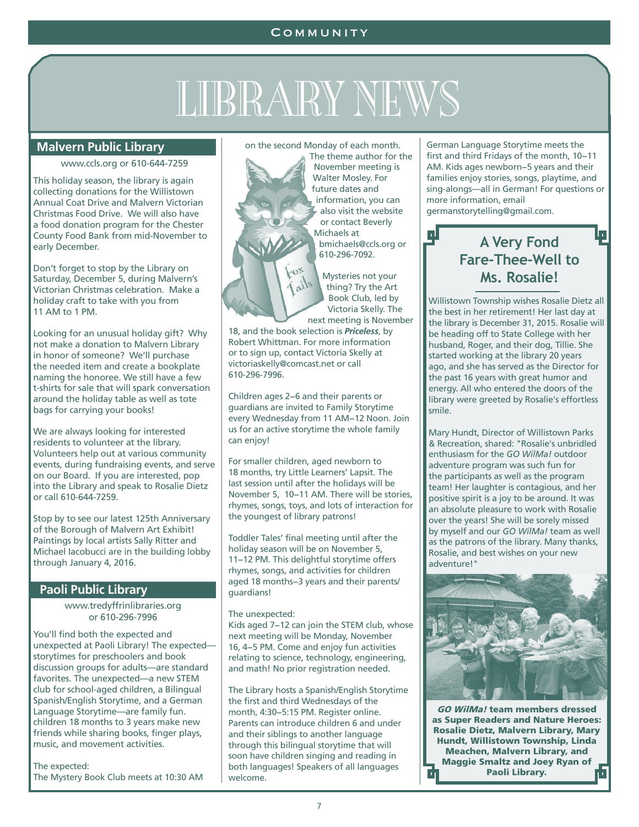# LIBRARY NEWS

#### **Malvern Public Library**

#### www.ccls.org or 610-644-7259

This holiday season, the library is again collecting donations for the Willistown Annual Coat Drive and Malvern Victorian Christmas Food Drive. We will also have a food donation program for the Chester County Food Bank from mid-November to early December.

Don't forget to stop by the Library on Saturday, December 5, during Malvern's Victorian Christmas celebration. Make a holiday craft to take with you from 11 AM to 1 PM.

Looking for an unusual holiday gift? Why not make a donation to Malvern Library in honor of someone? We'll purchase the needed item and create a bookplate naming the honoree. We still have a few t-shirts for sale that will spark conversation around the holiday table as well as tote bags for carrying your books!

We are always looking for interested residents to volunteer at the library. Volunteers help out at various community events, during fundraising events, and serve on our Board. If you are interested, pop into the Library and speak to Rosalie Dietz or call 610-644-7259.

Stop by to see our latest 125th Anniversary of the Borough of Malvern Art Exhibit! Paintings by local artists Sally Ritter and Michael Iacobucci are in the building lobby through January 4, 2016.

#### **Paoli Public Library**

www.tredyffrinlibraries.org or 610-296-7996

You'll find both the expected and unexpected at Paoli Library! The expected storytimes for preschoolers and book discussion groups for adults—are standard favorites. The unexpected—a new STEM club for school-aged children, a Bilingual Spanish/English Storytime, and a German Language Storytime—are family fun. children 18 months to 3 years make new friends while sharing books, finger plays, music, and movement activities.

The expected: The Mystery Book Club meets at 10:30 AM on the second Monday of each month.

The theme author for the November meeting is Walter Mosley. For future dates and information, you can also visit the website or contact Beverly Michaels at

bmichaels@ccls.org or 610-296-7092.

Mysteries not your thing? Try the Art Book Club, led by Victoria Skelly. The next meeting is November

18, and the book selection is *Priceless*, by Robert Whittman. For more information or to sign up, contact Victoria Skelly at victoriaskelly@comcast.net or call 610-296-7996.

Children ages 2−6 and their parents or guardians are invited to Family Storytime every Wednesday from 11 AM−12 Noon. Join us for an active storytime the whole family can enjoy!

For smaller children, aged newborn to 18 months, try Little Learners' Lapsit. The last session until after the holidays will be November 5, 10−11 AM. There will be stories, rhymes, songs, toys, and lots of interaction for the youngest of library patrons!

Toddler Tales' final meeting until after the holiday season will be on November 5, 11−12 PM. This delightful storytime offers rhymes, songs, and activities for children aged 18 months−3 years and their parents/ guardians!

#### The unexpected:

Kids aged 7−12 can join the STEM club, whose next meeting will be Monday, November 16, 4−5 PM. Come and enjoy fun activities relating to science, technology, engineering, and math! No prior registration needed.

The Library hosts a Spanish/English Storytime the first and third Wednesdays of the month, 4:30−5:15 PM. Register online. Parents can introduce children 6 and under and their siblings to another language through this bilingual storytime that will soon have children singing and reading in both languages! Speakers of all languages welcome.

German Language Storytime meets the first and third Fridays of the month, 10−11 AM. Kids ages newborn−5 years and their families enjoy stories, songs, playtime, and sing-alongs—all in German! For questions or more information, email germanstorytelling@gmail.com.

#### **A Very Fond Fare-Thee-Well to Ms. Rosalie!**

Ļ

Willistown Township wishes Rosalie Dietz all the best in her retirement! Her last day at the library is December 31, 2015. Rosalie will be heading off to State College with her husband, Roger, and their dog, Tillie. She started working at the library 20 years ago, and she has served as the Director for the past 16 years with great humor and energy. All who entered the doors of the library were greeted by Rosalie's effortless smile.

Mary Hundt, Director of Willistown Parks & Recreation, shared: "Rosalie's unbridled enthusiasm for the *GO WilMa!* outdoor adventure program was such fun for the participants as well as the program team! Her laughter is contagious, and her positive spirit is a joy to be around. It was an absolute pleasure to work with Rosalie over the years! She will be sorely missed by myself and our *GO WilMa!* team as well as the patrons of the library. Many thanks, Rosalie, and best wishes on your new adventure!"



GO WilMa! team members dressed as Super Readers and Nature Heroes: Rosalie Dietz, Malvern Library, Mary Hundt, Willistown Township, Linda Meachen, Malvern Library, and Maggie Smaltz and Joey Ryan of Paoli Library. r